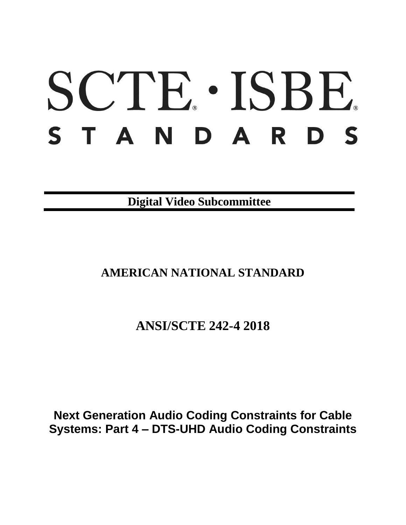# SCTE · ISBE. S T A N D A R D S

**Digital Video Subcommittee**

**AMERICAN NATIONAL STANDARD**

**ANSI/SCTE 242-4 2018**

**Next Generation Audio Coding Constraints for Cable Systems: Part 4 – DTS-UHD Audio Coding Constraints**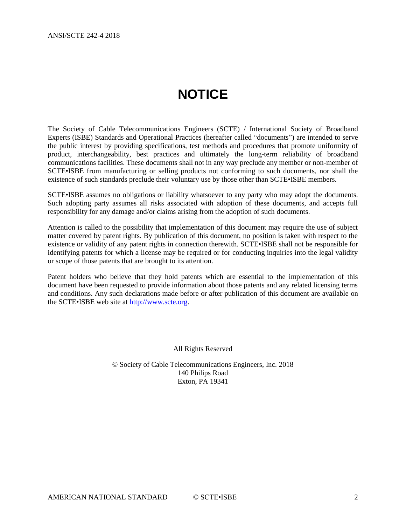# **NOTICE**

<span id="page-1-0"></span>The Society of Cable Telecommunications Engineers (SCTE) / International Society of Broadband Experts (ISBE) Standards and Operational Practices (hereafter called "documents") are intended to serve the public interest by providing specifications, test methods and procedures that promote uniformity of product, interchangeability, best practices and ultimately the long-term reliability of broadband communications facilities. These documents shall not in any way preclude any member or non-member of SCTE•ISBE from manufacturing or selling products not conforming to such documents, nor shall the existence of such standards preclude their voluntary use by those other than SCTE•ISBE members.

SCTE•ISBE assumes no obligations or liability whatsoever to any party who may adopt the documents. Such adopting party assumes all risks associated with adoption of these documents, and accepts full responsibility for any damage and/or claims arising from the adoption of such documents.

Attention is called to the possibility that implementation of this document may require the use of subject matter covered by patent rights. By publication of this document, no position is taken with respect to the existence or validity of any patent rights in connection therewith. SCTE•ISBE shall not be responsible for identifying patents for which a license may be required or for conducting inquiries into the legal validity or scope of those patents that are brought to its attention.

Patent holders who believe that they hold patents which are essential to the implementation of this document have been requested to provide information about those patents and any related licensing terms and conditions. Any such declarations made before or after publication of this document are available on the SCTE•ISBE web site at [http://www.scte.org.](http://www.scte.org/)

All Rights Reserved

© Society of Cable Telecommunications Engineers, Inc. 2018 140 Philips Road Exton, PA 19341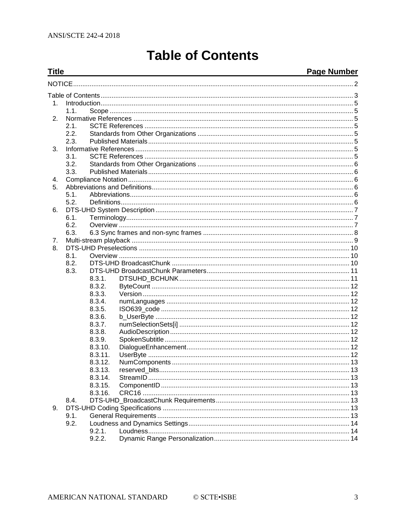<span id="page-2-0"></span>**Title** 

# **Table of Contents**

#### Page Number

| 1. |      |         |  |  |
|----|------|---------|--|--|
|    | 1.1. |         |  |  |
| 2. |      |         |  |  |
|    | 2.1. |         |  |  |
|    | 2.2. |         |  |  |
|    | 2.3. |         |  |  |
| 3. |      |         |  |  |
|    | 3.1. |         |  |  |
|    | 3.2. |         |  |  |
|    | 3.3. |         |  |  |
| 4. |      |         |  |  |
| 5. |      |         |  |  |
|    | 5.1. |         |  |  |
|    | 5.2. |         |  |  |
| 6. |      |         |  |  |
|    | 6.1. |         |  |  |
|    | 6.2. |         |  |  |
|    | 6.3. |         |  |  |
| 7. |      |         |  |  |
| 8. |      |         |  |  |
|    | 8.1. |         |  |  |
|    | 8.2. |         |  |  |
|    | 8.3. |         |  |  |
|    |      | 8.3.1.  |  |  |
|    |      | 8.3.2.  |  |  |
|    |      | 8.3.3.  |  |  |
|    |      | 8.3.4.  |  |  |
|    |      | 8.3.5.  |  |  |
|    |      | 8.3.6.  |  |  |
|    |      | 8.3.7.  |  |  |
|    |      | 8.3.8.  |  |  |
|    |      | 8.3.9.  |  |  |
|    |      | 8.3.10. |  |  |
|    |      | 8.3.11. |  |  |
|    |      | 8.3.12. |  |  |
|    |      | 8.3.13. |  |  |
|    |      | 8.3.14. |  |  |
|    |      | 8.3.15. |  |  |
|    |      | 8.3.16. |  |  |
|    | 8.4. |         |  |  |
| 9. |      |         |  |  |
|    | 9.1. |         |  |  |
|    | 9.2. |         |  |  |
|    |      | 9.2.1.  |  |  |
|    |      | 9.2.2.  |  |  |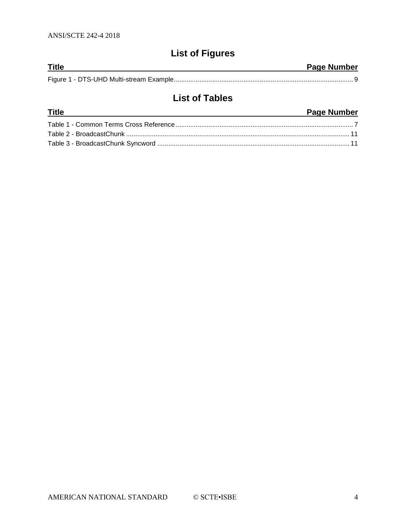## **List of Figures**

| <b>Title</b> | <b>Page Number</b> |
|--------------|--------------------|
|              |                    |

## **List of Tables**

| <b>Title</b> | <b>Page Number</b> |
|--------------|--------------------|
|              |                    |
|              |                    |
|              |                    |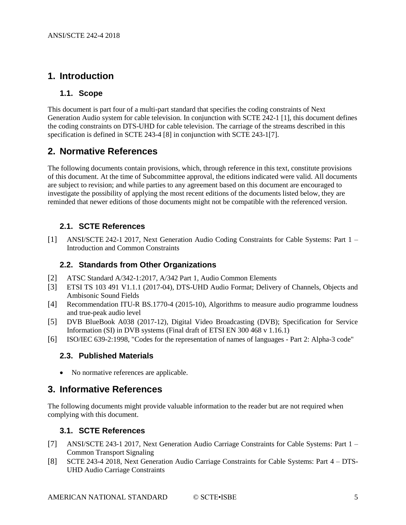## <span id="page-4-0"></span>**1. Introduction**

#### <span id="page-4-1"></span>**1.1. Scope**

This document is part four of a multi-part standard that specifies the coding constraints of Next Generation Audio system for cable television. In conjunction with SCTE 242-1 [\[1\],](#page-4-8) this document defines the coding constraints on DTS-UHD for cable television. The carriage of the streams described in this specification is defined in SCTE 243-4 [\[8\]](#page-4-9) in conjunction with SCTE 243-[1\[7\].](#page-4-10)

### <span id="page-4-2"></span>**2. Normative References**

The following documents contain provisions, which, through reference in this text, constitute provisions of this document. At the time of Subcommittee approval, the editions indicated were valid. All documents are subject to revision; and while parties to any agreement based on this document are encouraged to investigate the possibility of applying the most recent editions of the documents listed below, they are reminded that newer editions of those documents might not be compatible with the referenced version.

#### <span id="page-4-3"></span>**2.1. SCTE References**

<span id="page-4-8"></span>[1] ANSI/SCTE 242-1 2017, Next Generation Audio Coding Constraints for Cable Systems: Part 1 – Introduction and Common Constraints

#### <span id="page-4-4"></span>**2.2. Standards from Other Organizations**

- <span id="page-4-11"></span>[2] ATSC Standard A/342-1:2017, A/342 Part 1, Audio Common Elements
- <span id="page-4-12"></span>[3] ETSI TS 103 491 V1.1.1 (2017-04), DTS-UHD Audio Format; Delivery of Channels, Objects and Ambisonic Sound Fields
- [4] Recommendation ITU-R BS.1770-4 (2015-10), Algorithms to measure audio programme loudness and true-peak audio level
- [5] DVB BlueBook A038 (2017-12), Digital Video Broadcasting (DVB); Specification for Service Information (SI) in DVB systems (Final draft of ETSI EN 300 468 v 1.16.1)
- <span id="page-4-13"></span>[6] ISO/IEC 639-2:1998, "Codes for the representation of names of languages - Part 2: Alpha-3 code"

#### <span id="page-4-5"></span>**2.3. Published Materials**

• No normative references are applicable.

## <span id="page-4-6"></span>**3. Informative References**

The following documents might provide valuable information to the reader but are not required when complying with this document.

#### <span id="page-4-7"></span>**3.1. SCTE References**

- <span id="page-4-10"></span>[7] ANSI/SCTE 243-1 2017, Next Generation Audio Carriage Constraints for Cable Systems: Part 1 – Common Transport Signaling
- <span id="page-4-9"></span>[8] SCTE 243-4 2018, Next Generation Audio Carriage Constraints for Cable Systems: Part 4 – DTS-UHD Audio Carriage Constraints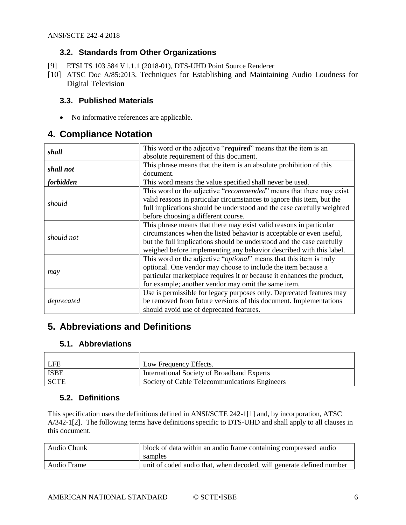#### **3.2. Standards from Other Organizations**

- <span id="page-5-6"></span><span id="page-5-0"></span>[9] ETSI TS 103 584 V1.1.1 (2018-01), DTS-UHD Point Source Renderer
- <span id="page-5-7"></span>[10] ATSC Doc A/85:2013, Techniques for Establishing and Maintaining Audio Loudness for Digital Television

#### <span id="page-5-1"></span>**3.3. Published Materials**

• No informative references are applicable.

## <span id="page-5-2"></span>**4. Compliance Notation**

| shall                                                                 | This word or the adjective "required" means that the item is an              |  |  |  |
|-----------------------------------------------------------------------|------------------------------------------------------------------------------|--|--|--|
|                                                                       | absolute requirement of this document.                                       |  |  |  |
| shall not                                                             | This phrase means that the item is an absolute prohibition of this           |  |  |  |
|                                                                       | document.                                                                    |  |  |  |
| forbidden<br>This word means the value specified shall never be used. |                                                                              |  |  |  |
|                                                                       | This word or the adjective "recommended" means that there may exist          |  |  |  |
|                                                                       | valid reasons in particular circumstances to ignore this item, but the       |  |  |  |
| should                                                                | full implications should be understood and the case carefully weighted       |  |  |  |
|                                                                       | before choosing a different course.                                          |  |  |  |
|                                                                       | This phrase means that there may exist valid reasons in particular           |  |  |  |
|                                                                       | circumstances when the listed behavior is acceptable or even useful,         |  |  |  |
| should not                                                            | but the full implications should be understood and the case carefully        |  |  |  |
|                                                                       | weighed before implementing any behavior described with this label.          |  |  |  |
|                                                                       | This word or the adjective " <i>optional</i> " means that this item is truly |  |  |  |
|                                                                       | optional. One vendor may choose to include the item because a                |  |  |  |
| may                                                                   | particular marketplace requires it or because it enhances the product,       |  |  |  |
|                                                                       | for example; another vendor may omit the same item.                          |  |  |  |
|                                                                       | Use is permissible for legacy purposes only. Deprecated features may         |  |  |  |
| deprecated                                                            | be removed from future versions of this document. Implementations            |  |  |  |
|                                                                       | should avoid use of deprecated features.                                     |  |  |  |

## <span id="page-5-3"></span>**5. Abbreviations and Definitions**

#### <span id="page-5-4"></span>**5.1. Abbreviations**

| LFE         | Low Frequency Effects.                        |
|-------------|-----------------------------------------------|
| ISBE        | International Society of Broadband Experts    |
| <b>SCTE</b> | Society of Cable Telecommunications Engineers |

#### <span id="page-5-5"></span>**5.2. Definitions**

This specification uses the definitions defined in ANSI/SCTE 242-1[1] and, by incorporation, ATSC A/342-1[2]. The following terms have definitions specific to DTS-UHD and shall apply to all clauses in this document.

| Audio Chunk | block of data within an audio frame containing compressed audio      |  |
|-------------|----------------------------------------------------------------------|--|
|             | samples                                                              |  |
| Audio Frame | unit of coded audio that, when decoded, will generate defined number |  |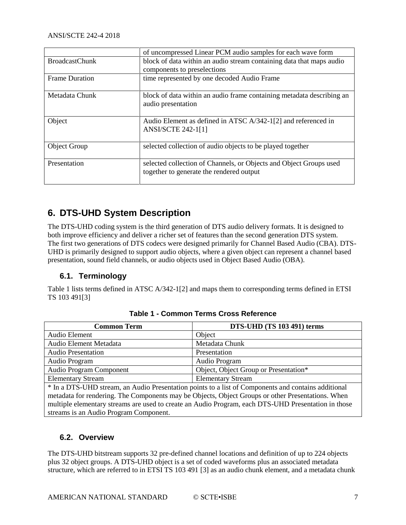|                                                                      | of uncompressed Linear PCM audio samples for each wave form                                                    |  |
|----------------------------------------------------------------------|----------------------------------------------------------------------------------------------------------------|--|
| <b>BroadcastChunk</b>                                                | block of data within an audio stream containing data that maps audio                                           |  |
|                                                                      | components to preselections                                                                                    |  |
| time represented by one decoded Audio Frame<br><b>Frame Duration</b> |                                                                                                                |  |
| Metadata Chunk                                                       | block of data within an audio frame containing metadata describing an<br>audio presentation                    |  |
| Object                                                               | Audio Element as defined in ATSC A/342-1[2] and referenced in<br><b>ANSI/SCTE 242-1[1]</b>                     |  |
| Object Group                                                         | selected collection of audio objects to be played together                                                     |  |
| Presentation                                                         | selected collection of Channels, or Objects and Object Groups used<br>together to generate the rendered output |  |

## <span id="page-6-0"></span>**6. DTS-UHD System Description**

The DTS-UHD coding system is the third generation of DTS audio delivery formats. It is designed to both improve efficiency and deliver a richer set of features than the second generation DTS system. The first two generations of DTS codecs were designed primarily for Channel Based Audio (CBA). DTS-UHD is primarily designed to support audio objects, where a given object can represent a channel based presentation, sound field channels, or audio objects used in Object Based Audio (OBA).

#### <span id="page-6-1"></span>**6.1. Terminology**

<span id="page-6-3"></span>[Table 1](#page-6-3) lists terms defined in ATSC A/342-[1\[2\]](#page-4-11) and maps them to corresponding terms defined in ETSI TS 103 49[1\[3\]](#page-4-12)

| <b>Common Term</b>                                                                                  | DTS-UHD (TS 103 491) terms            |  |
|-----------------------------------------------------------------------------------------------------|---------------------------------------|--|
| Audio Element                                                                                       | Object                                |  |
| Audio Element Metadata                                                                              | Metadata Chunk                        |  |
| <b>Audio Presentation</b>                                                                           | Presentation                          |  |
| Audio Program                                                                                       | Audio Program                         |  |
| Audio Program Component                                                                             | Object, Object Group or Presentation* |  |
| <b>Elementary Stream</b>                                                                            | <b>Elementary Stream</b>              |  |
| * In a DTS-UHD stream, an Audio Presentation points to a list of Components and contains additional |                                       |  |
| metadata for rendering. The Components may be Objects, Object Groups or other Presentations. When   |                                       |  |
| multiple elementary streams are used to create an Audio Program, each DTS-UHD Presentation in those |                                       |  |
| streams is an Audio Program Component.                                                              |                                       |  |

**Table 1 - Common Terms Cross Reference**

#### <span id="page-6-2"></span>**6.2. Overview**

The DTS-UHD bitstream supports 32 pre-defined channel locations and definition of up to 224 objects plus 32 object groups. A DTS-UHD object is a set of coded waveforms plus an associated metadata structure, which are referred to in ETSI TS 103 491 [\[3\]](#page-4-12) as an audio chunk element, and a metadata chunk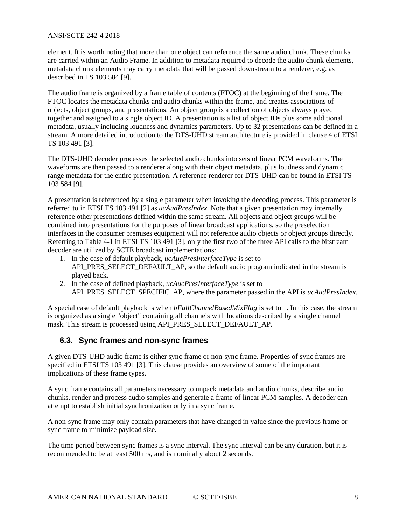element. It is worth noting that more than one object can reference the same audio chunk. These chunks are carried within an Audio Frame. In addition to metadata required to decode the audio chunk elements, metadata chunk elements may carry metadata that will be passed downstream to a renderer, e.g. as described in TS 103 584 [\[9\].](#page-5-6)

The audio frame is organized by a frame table of contents (FTOC) at the beginning of the frame. The FTOC locates the metadata chunks and audio chunks within the frame, and creates associations of objects, object groups, and presentations. An object group is a collection of objects always played together and assigned to a single object ID. A presentation is a list of object IDs plus some additional metadata, usually including loudness and dynamics parameters. Up to 32 presentations can be defined in a stream. A more detailed introduction to the DTS-UHD stream architecture is provided in clause 4 of ETSI TS 103 491 [\[3\].](#page-4-12)

The DTS-UHD decoder processes the selected audio chunks into sets of linear PCM waveforms. The waveforms are then passed to a renderer along with their object metadata, plus loudness and dynamic range metadata for the entire presentation. A reference renderer for DTS-UHD can be found in ETSI TS 103 584 [\[9\].](#page-5-6)

A presentation is referenced by a single parameter when invoking the decoding process. This parameter is referred to in ETSI TS 103 491 [\[2\]](#page-4-11) as *ucAudPresIndex*. Note that a given presentation may internally reference other presentations defined within the same stream. All objects and object groups will be combined into presentations for the purposes of linear broadcast applications, so the preselection interfaces in the consumer premises equipment will not reference audio objects or object groups directly. Referring to Table 4-1 in ETSI TS 103 491 [\[3\],](#page-4-12) only the first two of the three API calls to the bitstream decoder are utilized by SCTE broadcast implementations:

- 1. In the case of default playback, *ucAucPresInterfaceType* is set to API\_PRES\_SELECT\_DEFAULT\_AP, so the default audio program indicated in the stream is played back.
- 2. In the case of defined playback, *ucAucPresInterfaceType* is set to API\_PRES\_SELECT\_SPECIFIC\_AP, where the parameter passed in the API is *ucAudPresIndex*.

A special case of default playback is when *bFullChannelBasedMixFlag* is set to 1. In this case, the stream is organized as a single "object" containing all channels with locations described by a single channel mask. This stream is processed using API\_PRES\_SELECT\_DEFAULT\_AP.

#### <span id="page-7-0"></span>**6.3. Sync frames and non-sync frames**

A given DTS-UHD audio frame is either sync-frame or non-sync frame. Properties of sync frames are specified in ETSI TS 103 491 [\[3\].](#page-4-12) This clause provides an overview of some of the important implications of these frame types.

A sync frame contains all parameters necessary to unpack metadata and audio chunks, describe audio chunks, render and process audio samples and generate a frame of linear PCM samples. A decoder can attempt to establish initial synchronization only in a sync frame.

A non-sync frame may only contain parameters that have changed in value since the previous frame or sync frame to minimize payload size.

The time period between sync frames is a sync interval. The sync interval can be any duration, but it is recommended to be at least 500 ms, and is nominally about 2 seconds.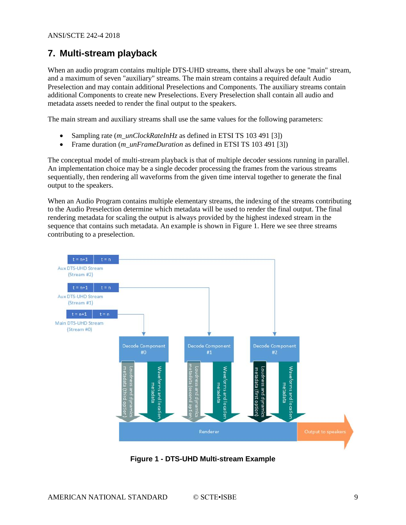## <span id="page-8-0"></span>**7. Multi-stream playback**

When an audio program contains multiple DTS-UHD streams, there shall always be one "main" stream, and a maximum of seven "auxiliary" streams. The main stream contains a required default Audio Preselection and may contain additional Preselections and Components. The auxiliary streams contain additional Components to create new Preselections. Every Preselection shall contain all audio and metadata assets needed to render the final output to the speakers.

The main stream and auxiliary streams shall use the same values for the following parameters:

- Sampling rate (*m\_unClockRateInHz* as defined in ETSI TS 103 491 [\[3\]\)](#page-4-12)
- Frame duration (*m\_unFrameDuration* as defined in ETSI TS 103 491 [\[3\]\)](#page-4-12)

The conceptual model of multi-stream playback is that of multiple decoder sessions running in parallel. An implementation choice may be a single decoder processing the frames from the various streams sequentially, then rendering all waveforms from the given time interval together to generate the final output to the speakers.

When an Audio Program contains multiple elementary streams, the indexing of the streams contributing to the Audio Preselection determine which metadata will be used to render the final output. The final rendering metadata for scaling the output is always provided by the highest indexed stream in the sequence that contains such metadata. An example is shown in [Figure 1.](#page-8-1) Here we see three streams contributing to a preselection.



<span id="page-8-1"></span>**Figure 1 - DTS-UHD Multi-stream Example**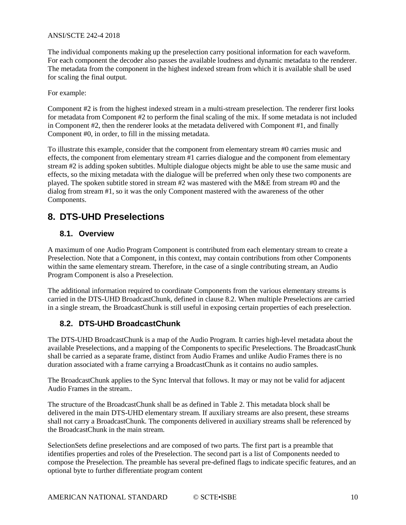The individual components making up the preselection carry positional information for each waveform. For each component the decoder also passes the available loudness and dynamic metadata to the renderer. The metadata from the component in the highest indexed stream from which it is available shall be used for scaling the final output.

For example:

Component #2 is from the highest indexed stream in a multi-stream preselection. The renderer first looks for metadata from Component #2 to perform the final scaling of the mix. If some metadata is not included in Component #2, then the renderer looks at the metadata delivered with Component #1, and finally Component #0, in order, to fill in the missing metadata.

To illustrate this example, consider that the component from elementary stream #0 carries music and effects, the component from elementary stream  $\hat{H}$  carries dialogue and the component from elementary stream #2 is adding spoken subtitles. Multiple dialogue objects might be able to use the same music and effects, so the mixing metadata with the dialogue will be preferred when only these two components are played. The spoken subtitle stored in stream #2 was mastered with the M&E from stream #0 and the dialog from stream #1, so it was the only Component mastered with the awareness of the other Components.

## <span id="page-9-0"></span>**8. DTS-UHD Preselections**

#### <span id="page-9-1"></span>**8.1. Overview**

A maximum of one Audio Program Component is contributed from each elementary stream to create a Preselection. Note that a Component, in this context, may contain contributions from other Components within the same elementary stream. Therefore, in the case of a single contributing stream, an Audio Program Component is also a Preselection.

The additional information required to coordinate Components from the various elementary streams is carried in the DTS-UHD BroadcastChunk, defined in clause 8.2. When multiple Preselections are carried in a single stream, the BroadcastChunk is still useful in exposing certain properties of each preselection.

#### <span id="page-9-2"></span>**8.2. DTS-UHD BroadcastChunk**

The DTS-UHD BroadcastChunk is a map of the Audio Program. It carries high-level metadata about the available Preselections, and a mapping of the Components to specific Preselections. The BroadcastChunk shall be carried as a separate frame, distinct from Audio Frames and unlike Audio Frames there is no duration associated with a frame carrying a BroadcastChunk as it contains no audio samples.

The BroadcastChunk applies to the Sync Interval that follows. It may or may not be valid for adjacent Audio Frames in the stream..

The structure of the BroadcastChunk shall be as defined in [Table 2.](#page-10-2) This metadata block shall be delivered in the main DTS-UHD elementary stream. If auxiliary streams are also present, these streams shall not carry a BroadcastChunk. The components delivered in auxiliary streams shall be referenced by the BroadcastChunk in the main stream.

SelectionSets define preselections and are composed of two parts. The first part is a preamble that identifies properties and roles of the Preselection. The second part is a list of Components needed to compose the Preselection. The preamble has several pre-defined flags to indicate specific features, and an optional byte to further differentiate program content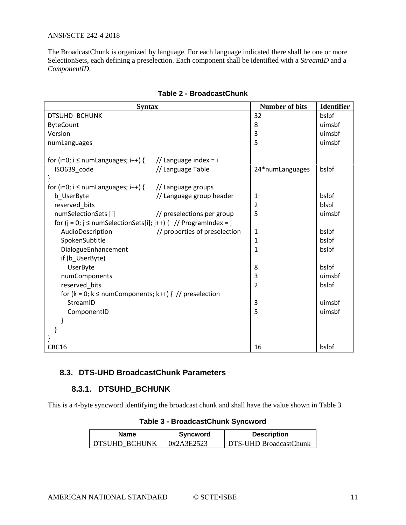The BroadcastChunk is organized by language. For each language indicated there shall be one or more SelectionSets, each defining a preselection. Each component shall be identified with a *StreamID* and a *ComponentID*.

<span id="page-10-2"></span>

| <b>Syntax</b>                                                                                        | <b>Number of bits</b>                                            | <b>Identifier</b> |        |
|------------------------------------------------------------------------------------------------------|------------------------------------------------------------------|-------------------|--------|
| DTSUHD_BCHUNK                                                                                        | 32                                                               | bslbf             |        |
| <b>ByteCount</b>                                                                                     | 8                                                                | uimsbf            |        |
| Version                                                                                              |                                                                  | 3                 | uimsbf |
| numLanguages                                                                                         |                                                                  | 5                 | uimsbf |
| for (i=0; i $\leq$ numLanguages; i++) {<br>ISO639 code<br>for (i=0; $i \leq$ numLanguages; $i$ ++) { | // Language index = i<br>// Language Table<br>// Language groups | 24*numLanguages   | bslbf  |
| b UserByte                                                                                           | // Language group header                                         | 1                 | bslbf  |
| reserved bits                                                                                        |                                                                  | $\overline{2}$    | blsbl  |
| numSelectionSets [i]                                                                                 | // preselections per group                                       | 5                 | uimsbf |
| for (j = 0; j $\leq$ numSelectionSets[i]; j++) { // ProgramIndex = j                                 |                                                                  |                   |        |
| AudioDescription                                                                                     | // properties of preselection                                    | 1                 | bslbf  |
| SpokenSubtitle                                                                                       |                                                                  | 1                 | bslbf  |
| DialogueEnhancement                                                                                  | 1                                                                | bslbf             |        |
| if (b UserByte)                                                                                      |                                                                  |                   |        |
| UserByte                                                                                             |                                                                  | 8                 | bslbf  |
| numComponents                                                                                        | 3                                                                | uimsbf            |        |
| reserved_bits                                                                                        | $\overline{2}$                                                   | bslbf             |        |
| for ( $k = 0$ ; $k \le$ numComponents; $k++$ ) { // preselection                                     |                                                                  |                   |        |
| StreamID                                                                                             |                                                                  | 3                 | uimsbf |
| ComponentID                                                                                          |                                                                  | 5                 | uimsbf |
|                                                                                                      |                                                                  |                   |        |
|                                                                                                      |                                                                  |                   |        |
|                                                                                                      |                                                                  |                   |        |
| CRC16                                                                                                |                                                                  | 16                | bslbf  |

#### **Table 2 - BroadcastChunk**

#### <span id="page-10-1"></span><span id="page-10-0"></span>**8.3. DTS-UHD BroadcastChunk Parameters**

#### **8.3.1. DTSUHD\_BCHUNK**

<span id="page-10-3"></span>This is a 4-byte syncword identifying the broadcast chunk and shall have the value shown in [Table 3.](#page-10-3)

| <b>Name</b>          | Syncword   | <b>Description</b>     |
|----------------------|------------|------------------------|
| <b>DISUHD BCHUNK</b> | 0x2A3E2523 | DTS-UHD BroadcastChunk |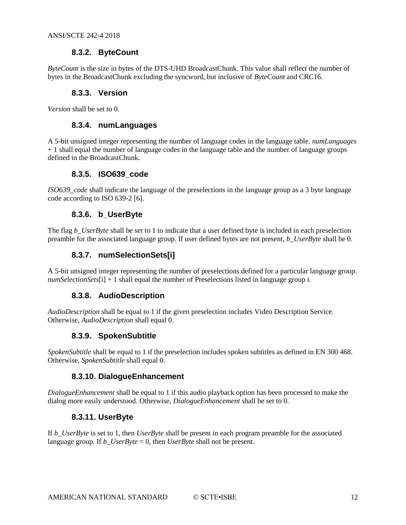#### **8.3.2. ByteCount**

<span id="page-11-1"></span><span id="page-11-0"></span>*ByteCount* is the size in bytes of the DTS-UHD BroadcastChunk. This value shall reflect the number of bytes in the BroadcastChunk excluding the syncword, but inclusive of *ByteCount* and CRC16.

#### **8.3.3. Version**

<span id="page-11-2"></span>*Version* shall be set to 0.

#### **8.3.4. numLanguages**

A 5-bit unsigned integer representing the number of language codes in the language table. *numLanguages* + 1 shall equal the number of language codes in the language table and the number of language groups defined in the BroadcastChunk.

#### **8.3.5. ISO639\_code**

<span id="page-11-4"></span><span id="page-11-3"></span>*ISO639\_code* shall indicate the language of the preselections in the language group as a 3 byte language code according to ISO 639-2 [\[6\].](#page-4-13)

#### **8.3.6. b\_UserByte**

<span id="page-11-5"></span>The flag *b\_UserByte* shall be set to 1 to indicate that a user defined byte is included in each preselection preamble for the associated language group. If user defined bytes are not present, *b\_UserByte* shall be 0.

#### **8.3.7. numSelectionSets[i]**

<span id="page-11-6"></span>A 5-bit unsigned integer representing the number of preselections defined for a particular language group. *numSelectionSets*[i] + 1 shall equal the number of Preselections listed in language group i.

#### **8.3.8. AudioDescription**

<span id="page-11-7"></span>*AudioDescription* shall be equal to 1 if the given preselection includes Video Description Service. Otherwise, *AudioDescription* shall equal 0.

#### **8.3.9. SpokenSubtitle**

<span id="page-11-8"></span>*SpokenSubtitle* shall be equal to 1 if the preselection includes spoken subtitles as defined in EN 300 468. Otherwise, *SpokenSubtitle* shall equal 0.

#### **8.3.10. DialogueEnhancement**

<span id="page-11-9"></span>*DialogueEnhancement* shall be equal to 1 if this audio playback option has been processed to make the dialog more easily understood. Otherwise, *DialogueEnhancement* shall be set to 0.

#### **8.3.11. UserByte**

If *b\_UserByte* is set to 1, then *UserByte* shall be present in each program preamble for the associated language group. If *b\_UserByte* = 0, then *UserByte* shall not be present.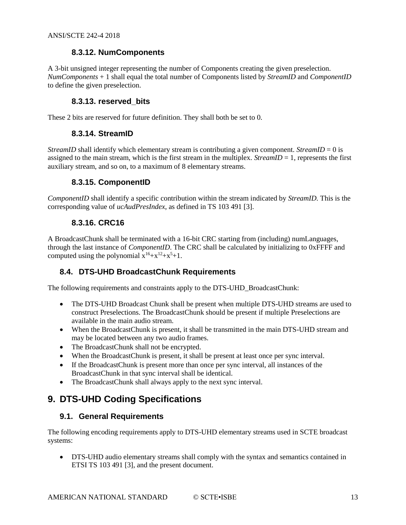#### **8.3.12. NumComponents**

<span id="page-12-0"></span>A 3-bit unsigned integer representing the number of Components creating the given preselection. *NumComponents* + 1 shall equal the total number of Components listed by *StreamID* and *ComponentID*  to define the given preselection.

#### **8.3.13. reserved\_bits**

<span id="page-12-2"></span><span id="page-12-1"></span>These 2 bits are reserved for future definition. They shall both be set to 0.

#### **8.3.14. StreamID**

<span id="page-12-3"></span>*StreamID* shall identify which elementary stream is contributing a given component. *StreamID* = 0 is assigned to the main stream, which is the first stream in the multiplex. *StreamID*  $= 1$ , represents the first auxiliary stream, and so on, to a maximum of 8 elementary streams.

#### **8.3.15. ComponentID**

<span id="page-12-4"></span>*ComponentID* shall identify a specific contribution within the stream indicated by *StreamID.* This is the corresponding value of *ucAudPresIndex*, as defined in TS 103 491 [\[3\].](#page-4-12)

#### **8.3.16. CRC16**

A BroadcastChunk shall be terminated with a 16-bit CRC starting from (including) numLanguages, through the last instance of *ComponentID*. The CRC shall be calculated by initializing to 0xFFFF and computed using the polynomial  $x^{16}+x^{12}+x^{5}+1$ .

#### <span id="page-12-5"></span>**8.4. DTS-UHD BroadcastChunk Requirements**

The following requirements and constraints apply to the DTS-UHD\_BroadcastChunk:

- The DTS-UHD Broadcast Chunk shall be present when multiple DTS-UHD streams are used to construct Preselections. The BroadcastChunk should be present if multiple Preselections are available in the main audio stream.
- When the BroadcastChunk is present, it shall be transmitted in the main DTS-UHD stream and may be located between any two audio frames.
- The BroadcastChunk shall not be encrypted.
- When the BroadcastChunk is present, it shall be present at least once per sync interval.
- If the BroadcastChunk is present more than once per sync interval, all instances of the BroadcastChunk in that sync interval shall be identical.
- The BroadcastChunk shall always apply to the next sync interval.

## <span id="page-12-7"></span><span id="page-12-6"></span>**9. DTS-UHD Coding Specifications**

#### **9.1. General Requirements**

The following encoding requirements apply to DTS-UHD elementary streams used in SCTE broadcast systems:

• DTS-UHD audio elementary streams shall comply with the syntax and semantics contained in ETSI TS 103 491 [\[3\],](#page-4-12) and the present document.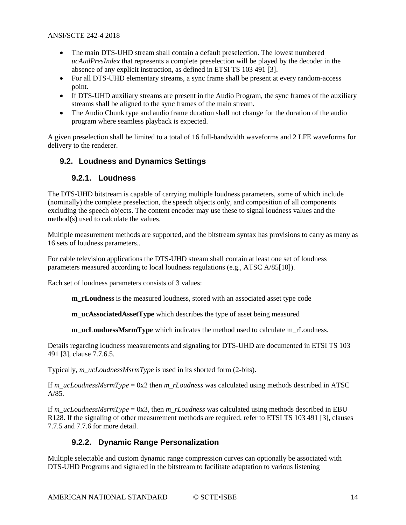- The main DTS-UHD stream shall contain a default preselection. The lowest numbered *ucAudPresIndex* that represents a complete preselection will be played by the decoder in the absence of any explicit instruction, as defined in ETSI TS 103 491 [\[3\].](#page-4-12)
- For all DTS-UHD elementary streams, a sync frame shall be present at every random-access point.
- If DTS-UHD auxiliary streams are present in the Audio Program, the sync frames of the auxiliary streams shall be aligned to the sync frames of the main stream.
- The Audio Chunk type and audio frame duration shall not change for the duration of the audio program where seamless playback is expected.

A given preselection shall be limited to a total of 16 full-bandwidth waveforms and 2 LFE waveforms for delivery to the renderer.

#### <span id="page-13-1"></span><span id="page-13-0"></span>**9.2. Loudness and Dynamics Settings**

#### **9.2.1. Loudness**

The DTS-UHD bitstream is capable of carrying multiple loudness parameters, some of which include (nominally) the complete preselection, the speech objects only, and composition of all components excluding the speech objects. The content encoder may use these to signal loudness values and the method(s) used to calculate the values.

Multiple measurement methods are supported, and the bitstream syntax has provisions to carry as many as 16 sets of loudness parameters..

For cable television applications the DTS-UHD stream shall contain at least one set of loudness parameters measured according to local loudness regulations (e.g., ATSC A/8[5\[10\]\)](#page-5-7).

Each set of loudness parameters consists of 3 values:

**m\_rLoudness** is the measured loudness, stored with an associated asset type code

**m\_ucAssociatedAssetType** which describes the type of asset being measured

**m\_ucLoudnessMsrmType** which indicates the method used to calculate m\_rLoudness.

Details regarding loudness measurements and signaling for DTS-UHD are documented in ETSI TS 103 491 [\[3\],](#page-4-12) clause 7.7.6.5.

Typically, *m\_ucLoudnessMsrmType* is used in its shorted form (2-bits).

If *m\_ucLoudnessMsrmType* = 0x2 then *m\_rLoudness* was calculated using methods described in ATSC A/85.

If *m\_ucLoudnessMsrmType* = 0x3, then *m\_rLoudness* was calculated using methods described in EBU R128. If the signaling of other measurement methods are required, refer to ETSI TS 103 491 [\[3\],](#page-4-12) clauses 7.7.5 and 7.7.6 for more detail.

#### **9.2.2. Dynamic Range Personalization**

<span id="page-13-2"></span>Multiple selectable and custom dynamic range compression curves can optionally be associated with DTS-UHD Programs and signaled in the bitstream to facilitate adaptation to various listening